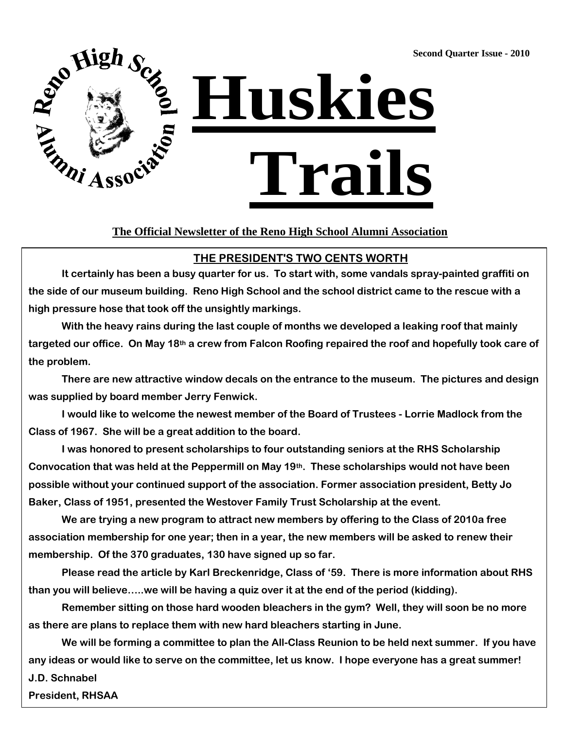**Second Quarter Issue - 2010**



#### **The Official Newsletter of the Reno High School Alumni Association**

#### **THE PRESIDENT'S TWO CENTS WORTH**

**It certainly has been a busy quarter for us. To start with, some vandals spray-painted graffiti on the side of our museum building. Reno High School and the school district came to the rescue with a high pressure hose that took off the unsightly markings.** 

**With the heavy rains during the last couple of months we developed a leaking roof that mainly targeted our office. On May 18th a crew from Falcon Roofing repaired the roof and hopefully took care of the problem.** 

**There are new attractive window decals on the entrance to the museum. The pictures and design was supplied by board member Jerry Fenwick.** 

**I would like to welcome the newest member of the Board of Trustees - Lorrie Madlock from the Class of 1967. She will be a great addition to the board.** 

**I was honored to present scholarships to four outstanding seniors at the RHS Scholarship Convocation that was held at the Peppermill on May 19th. These scholarships would not have been possible without your continued support of the association. Former association president, Betty Jo Baker, Class of 1951, presented the Westover Family Trust Scholarship at the event.** 

**We are trying a new program to attract new members by offering to the Class of 2010a free association membership for one year; then in a year, the new members will be asked to renew their membership. Of the 370 graduates, 130 have signed up so far.** 

**Please read the article by Karl Breckenridge, Class of '59. There is more information about RHS than you will believe…..we will be having a quiz over it at the end of the period (kidding).** 

**Remember sitting on those hard wooden bleachers in the gym? Well, they will soon be no more as there are plans to replace them with new hard bleachers starting in June.** 

**We will be forming a committee to plan the All-Class Reunion to be held next summer. If you have any ideas or would like to serve on the committee, let us know. I hope everyone has a great summer! J.D. Schnabel**

**President, RHSAA**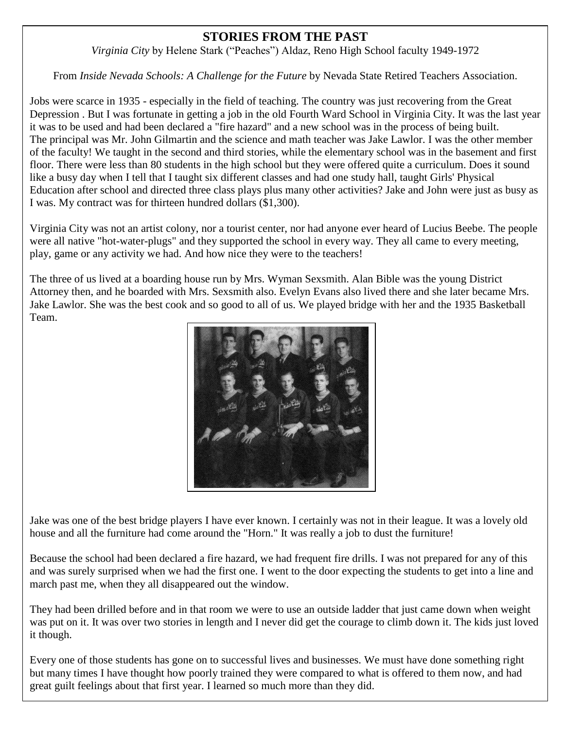### **STORIES FROM THE PAST**

*Virginia City* by Helene Stark ("Peaches") Aldaz, Reno High School faculty 1949-1972

From *Inside Nevada Schools: A Challenge for the Future* by Nevada State Retired Teachers Association.

Jobs were scarce in 1935 - especially in the field of teaching. The country was just recovering from the Great Depression . But I was fortunate in getting a job in the old Fourth Ward School in Virginia City. It was the last year it was to be used and had been declared a "fire hazard" and a new school was in the process of being built. The principal was Mr. John Gilmartin and the science and math teacher was Jake Lawlor. I was the other member of the faculty! We taught in the second and third stories, while the elementary school was in the basement and first floor. There were less than 80 students in the high school but they were offered quite a curriculum. Does it sound like a busy day when I tell that I taught six different classes and had one study hall, taught Girls' Physical Education after school and directed three class plays plus many other activities? Jake and John were just as busy as I was. My contract was for thirteen hundred dollars (\$1,300).

Virginia City was not an artist colony, nor a tourist center, nor had anyone ever heard of Lucius Beebe. The people were all native "hot-water-plugs" and they supported the school in every way. They all came to every meeting, play, game or any activity we had. And how nice they were to the teachers!

The three of us lived at a boarding house run by Mrs. Wyman Sexsmith. Alan Bible was the young District Attorney then, and he boarded with Mrs. Sexsmith also. Evelyn Evans also lived there and she later became Mrs. Jake Lawlor. She was the best cook and so good to all of us. We played bridge with her and the 1935 Basketball Team.



Jake was one of the best bridge players I have ever known. I certainly was not in their league. It was a lovely old house and all the furniture had come around the "Horn." It was really a job to dust the furniture!

Because the school had been declared a fire hazard, we had frequent fire drills. I was not prepared for any of this and was surely surprised when we had the first one. I went to the door expecting the students to get into a line and march past me, when they all disappeared out the window.

They had been drilled before and in that room we were to use an outside ladder that just came down when weight was put on it. It was over two stories in length and I never did get the courage to climb down it. The kids just loved it though.

Every one of those students has gone on to successful lives and businesses. We must have done something right but many times I have thought how poorly trained they were compared to what is offered to them now, and had great guilt feelings about that first year. I learned so much more than they did.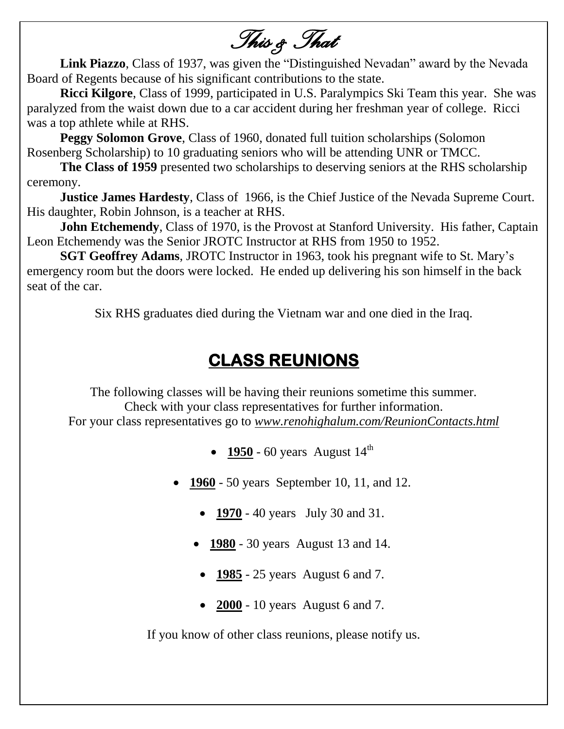*This & That* 

**Link Piazzo**, Class of 1937, was given the "Distinguished Nevadan" award by the Nevada Board of Regents because of his significant contributions to the state.

**Ricci Kilgore**, Class of 1999, participated in U.S. Paralympics Ski Team this year. She was paralyzed from the waist down due to a car accident during her freshman year of college. Ricci was a top athlete while at RHS.

**Peggy Solomon Grove**, Class of 1960, donated full tuition scholarships (Solomon Rosenberg Scholarship) to 10 graduating seniors who will be attending UNR or TMCC.

**The Class of 1959** presented two scholarships to deserving seniors at the RHS scholarship ceremony.

**Justice James Hardesty, Class of 1966, is the Chief Justice of the Nevada Supreme Court.** His daughter, Robin Johnson, is a teacher at RHS.

**John Etchemendy**, Class of 1970, is the Provost at Stanford University. His father, Captain Leon Etchemendy was the Senior JROTC Instructor at RHS from 1950 to 1952.

**SGT Geoffrey Adams**, JROTC Instructor in 1963, took his pregnant wife to St. Mary's emergency room but the doors were locked. He ended up delivering his son himself in the back seat of the car.

Six RHS graduates died during the Vietnam war and one died in the Iraq.

# **CLASS REUNIONS**

The following classes will be having their reunions sometime this summer. Check with your class representatives for further information. For your class representatives go to *www.renohighalum.com/ReunionContacts.html*

- **1950** 60 years August  $14^{th}$
- **1960** 50 years September 10, 11, and 12.
	- **1970** 40 years July 30 and 31.
	- **1980** 30 years August 13 and 14.
		- **1985** 25 years August 6 and 7.
		- **2000** 10 years August 6 and 7.

If you know of other class reunions, please notify us.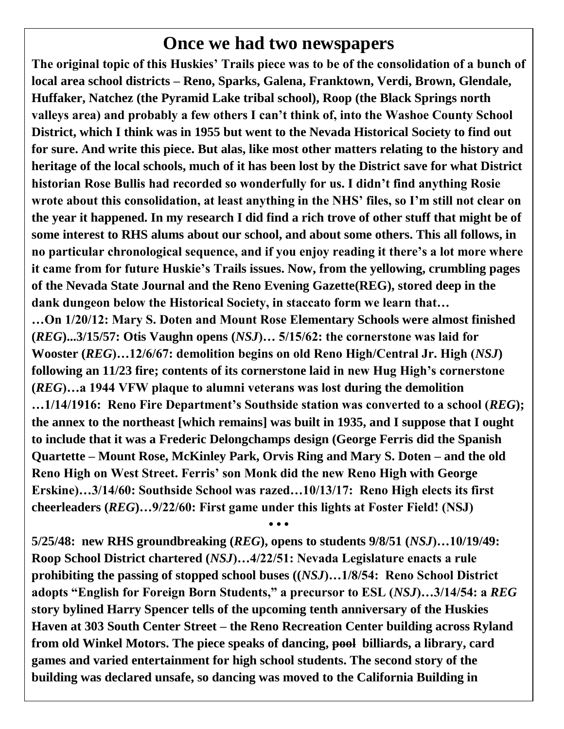## **Once we had two newspapers**

**The original topic of this Huskies' Trails piece was to be of the consolidation of a bunch of local area school districts – Reno, Sparks, Galena, Franktown, Verdi, Brown, Glendale, Huffaker, Natchez (the Pyramid Lake tribal school), Roop (the Black Springs north valleys area) and probably a few others I can't think of, into the Washoe County School District, which I think was in 1955 but went to the Nevada Historical Society to find out for sure. And write this piece. But alas, like most other matters relating to the history and heritage of the local schools, much of it has been lost by the District save for what District historian Rose Bullis had recorded so wonderfully for us. I didn't find anything Rosie wrote about this consolidation, at least anything in the NHS' files, so I'm still not clear on the year it happened. In my research I did find a rich trove of other stuff that might be of some interest to RHS alums about our school, and about some others. This all follows, in no particular chronological sequence, and if you enjoy reading it there's a lot more where it came from for future Huskie's Trails issues. Now, from the yellowing, crumbling pages of the Nevada State Journal and the Reno Evening Gazette(REG), stored deep in the dank dungeon below the Historical Society, in staccato form we learn that…** 

**…On 1/20/12: Mary S. Doten and Mount Rose Elementary Schools were almost finished (***REG***)...3/15/57: Otis Vaughn opens (***NSJ***)… 5/15/62: the cornerstone was laid for Wooster (***REG***)…12/6/67: demolition begins on old Reno High/Central Jr. High (***NSJ***) following an 11/23 fire; contents of its cornerstone laid in new Hug High's cornerstone (***REG***)…a 1944 VFW plaque to alumni veterans was lost during the demolition …1/14/1916: Reno Fire Department's Southside station was converted to a school (***REG***); the annex to the northeast [which remains] was built in 1935, and I suppose that I ought to include that it was a Frederic Delongchamps design (George Ferris did the Spanish Quartette – Mount Rose, McKinley Park, Orvis Ring and Mary S. Doten – and the old Reno High on West Street. Ferris' son Monk did the new Reno High with George Erskine)…3/14/60: Southside School was razed…10/13/17: Reno High elects its first cheerleaders (***REG***)…9/22/60: First game under this lights at Foster Field! (NSJ)**

**5/25/48: new RHS groundbreaking (***REG***), opens to students 9/8/51 (***NSJ***)…10/19/49: Roop School District chartered (***NSJ***)…4/22/51: Nevada Legislature enacts a rule prohibiting the passing of stopped school buses ((***NSJ***)…1/8/54: Reno School District adopts "English for Foreign Born Students," a precursor to ESL (***NSJ***)…3/14/54: a** *REG* **story bylined Harry Spencer tells of the upcoming tenth anniversary of the Huskies Haven at 303 South Center Street – the Reno Recreation Center building across Ryland from old Winkel Motors. The piece speaks of dancing, pool billiards, a library, card games and varied entertainment for high school students. The second story of the building was declared unsafe, so dancing was moved to the California Building in** 

**• • •**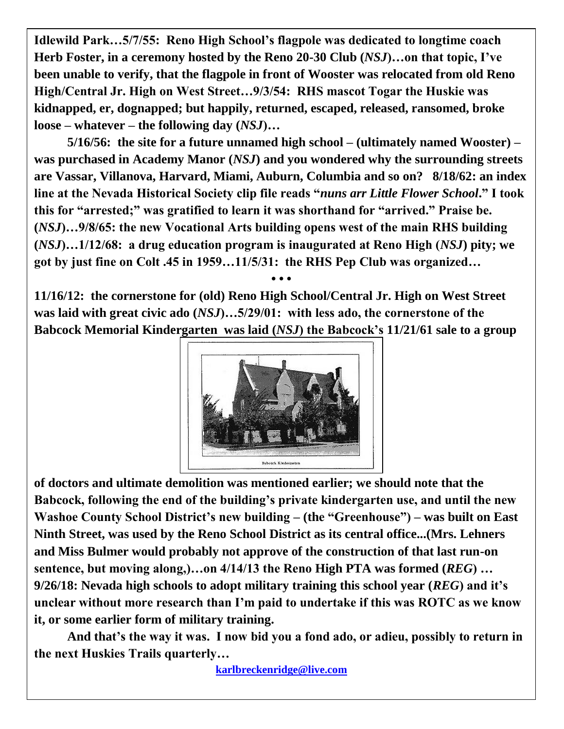**Idlewild Park…5/7/55: Reno High School's flagpole was dedicated to longtime coach Herb Foster, in a ceremony hosted by the Reno 20-30 Club (***NSJ***)…on that topic, I've been unable to verify, that the flagpole in front of Wooster was relocated from old Reno High/Central Jr. High on West Street…9/3/54: RHS mascot Togar the Huskie was kidnapped, er, dognapped; but happily, returned, escaped, released, ransomed, broke loose – whatever – the following day (***NSJ***)…**

**5/16/56: the site for a future unnamed high school – (ultimately named Wooster) – was purchased in Academy Manor (***NSJ***) and you wondered why the surrounding streets are Vassar, Villanova, Harvard, Miami, Auburn, Columbia and so on? 8/18/62: an index line at the Nevada Historical Society clip file reads "***nuns arr Little Flower School***." I took this for "arrested;" was gratified to learn it was shorthand for "arrived." Praise be. (***NSJ***)…9/8/65: the new Vocational Arts building opens west of the main RHS building (***NSJ***)…1/12/68: a drug education program is inaugurated at Reno High (***NSJ***) pity; we got by just fine on Colt .45 in 1959…11/5/31: the RHS Pep Club was organized…**

**11/16/12: the cornerstone for (old) Reno High School/Central Jr. High on West Street was laid with great civic ado (***NSJ***)…5/29/01: with less ado, the cornerstone of the Babcock Memorial Kindergarten was laid (***NSJ***) the Babcock's 11/21/61 sale to a group** 

**• • •**



**of doctors and ultimate demolition was mentioned earlier; we should note that the Babcock, following the end of the building's private kindergarten use, and until the new Washoe County School District's new building – (the "Greenhouse") – was built on East Ninth Street, was used by the Reno School District as its central office...(Mrs. Lehners and Miss Bulmer would probably not approve of the construction of that last run-on sentence, but moving along,)…on 4/14/13 the Reno High PTA was formed (***REG***) … 9/26/18: Nevada high schools to adopt military training this school year (***REG***) and it's unclear without more research than I'm paid to undertake if this was ROTC as we know it, or some earlier form of military training.**

**And that's the way it was. I now bid you a fond ado, or adieu, possibly to return in the next Huskies Trails quarterly…**

**[karlbreckenridge@live.com](mailto:karlbreckenridge@live.com)**

i<br>I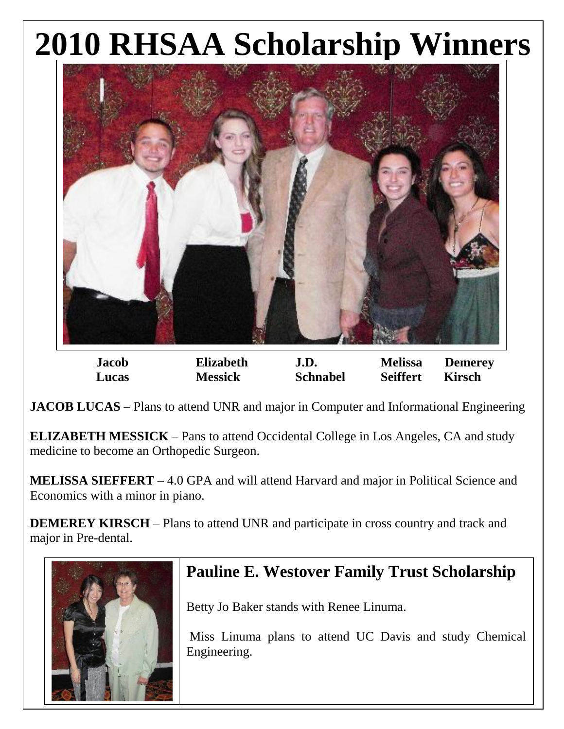# **2010 RHSAA Scholarship Winners**



**Jacob Elizabeth J.D. Melissa Demerey Lucas Messick Schnabel Seiffert Kirsch**

**JACOB LUCAS** – Plans to attend UNR and major in Computer and Informational Engineering

**ELIZABETH MESSICK** – Pans to attend Occidental College in Los Angeles, CA and study medicine to become an Orthopedic Surgeon.

**MELISSA SIEFFERT** – 4.0 GPA and will attend Harvard and major in Political Science and Economics with a minor in piano.

**DEMEREY KIRSCH** – Plans to attend UNR and participate in cross country and track and major in Pre-dental.



# **Pauline E. Westover Family Trust Scholarship**

Betty Jo Baker stands with Renee Linuma.

Miss Linuma plans to attend UC Davis and study Chemical Engineering.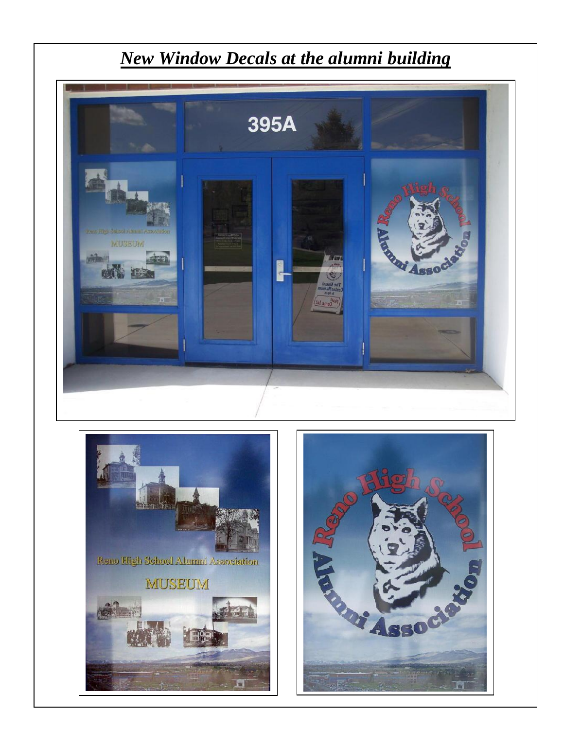

*New Window Decals at the alumni building*